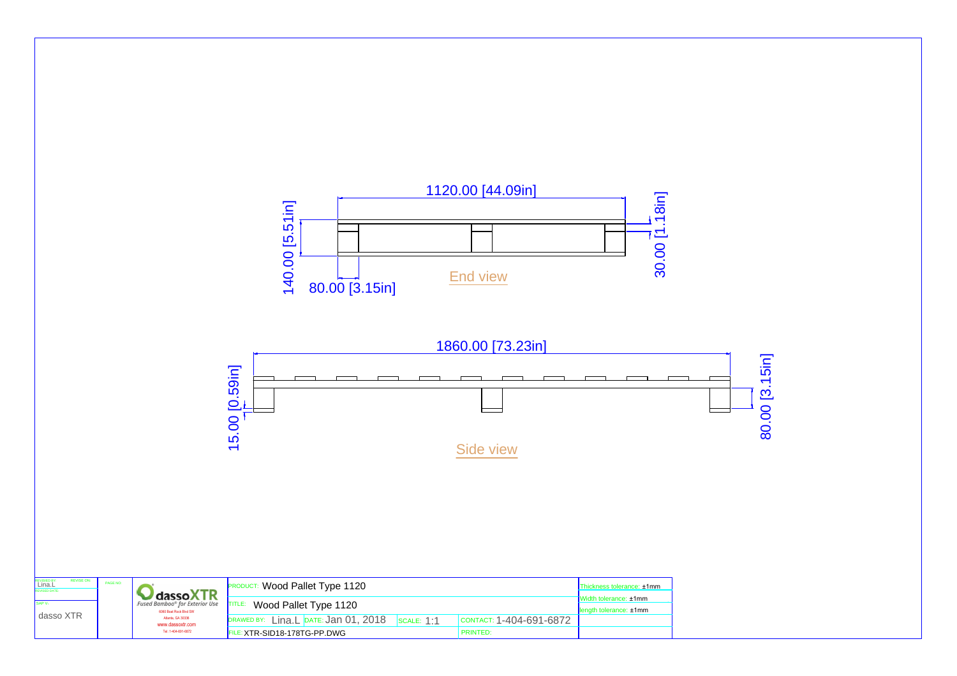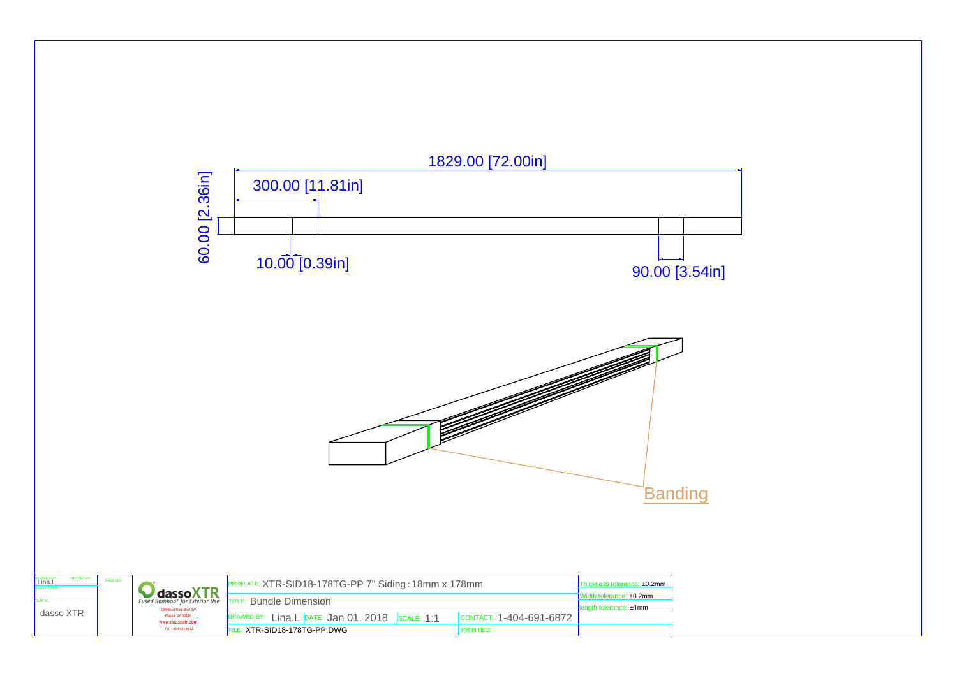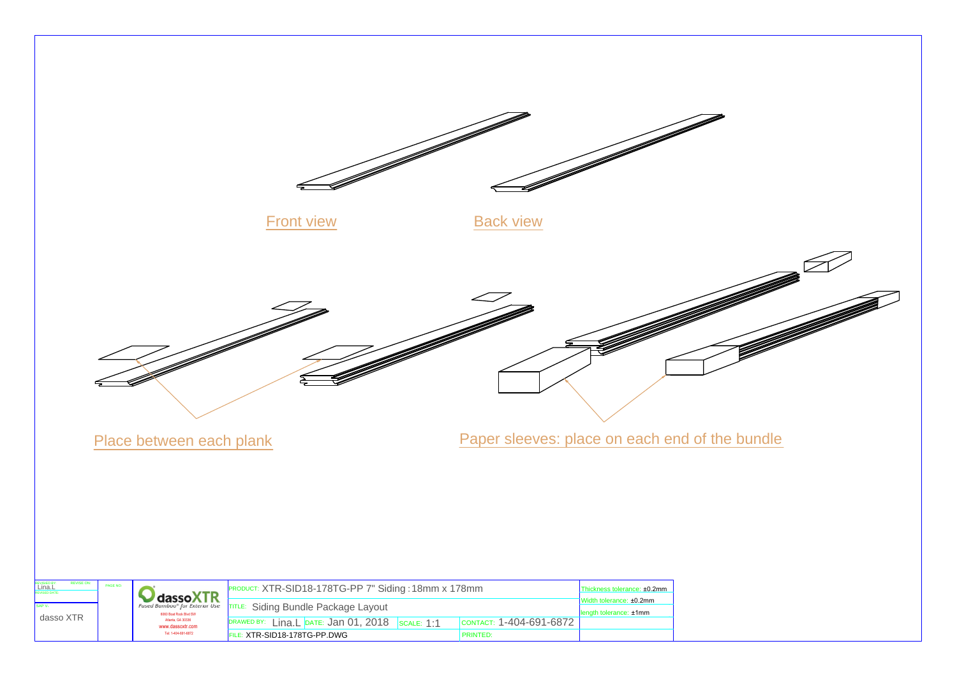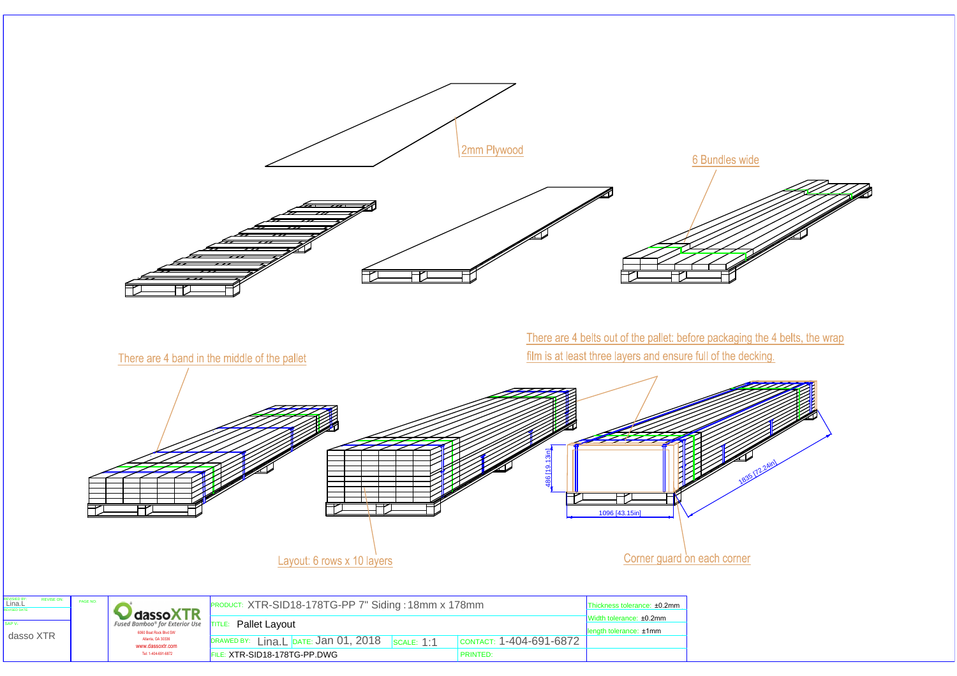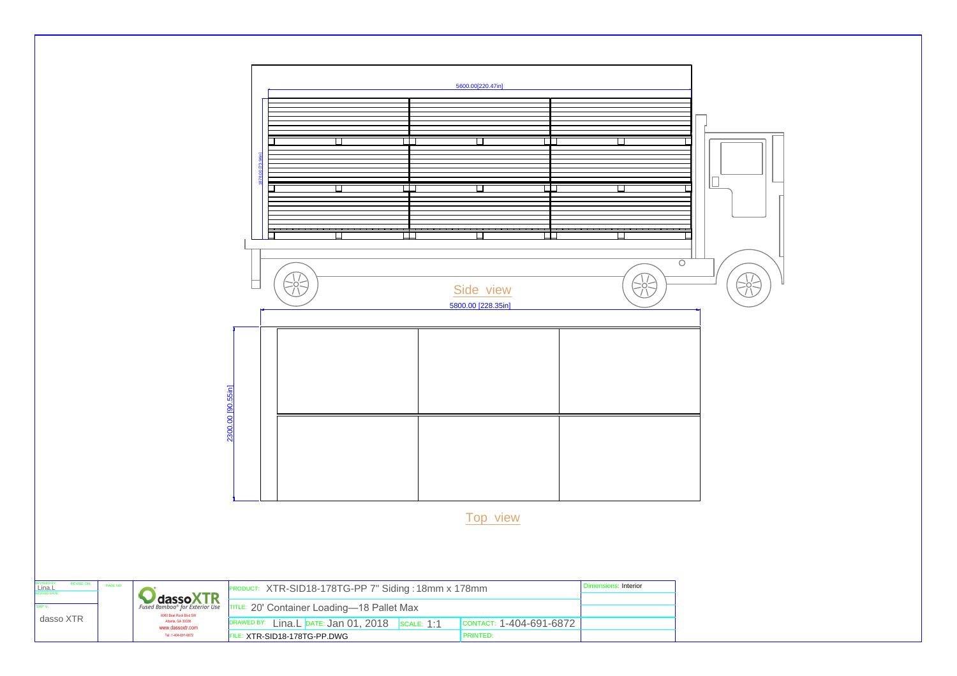